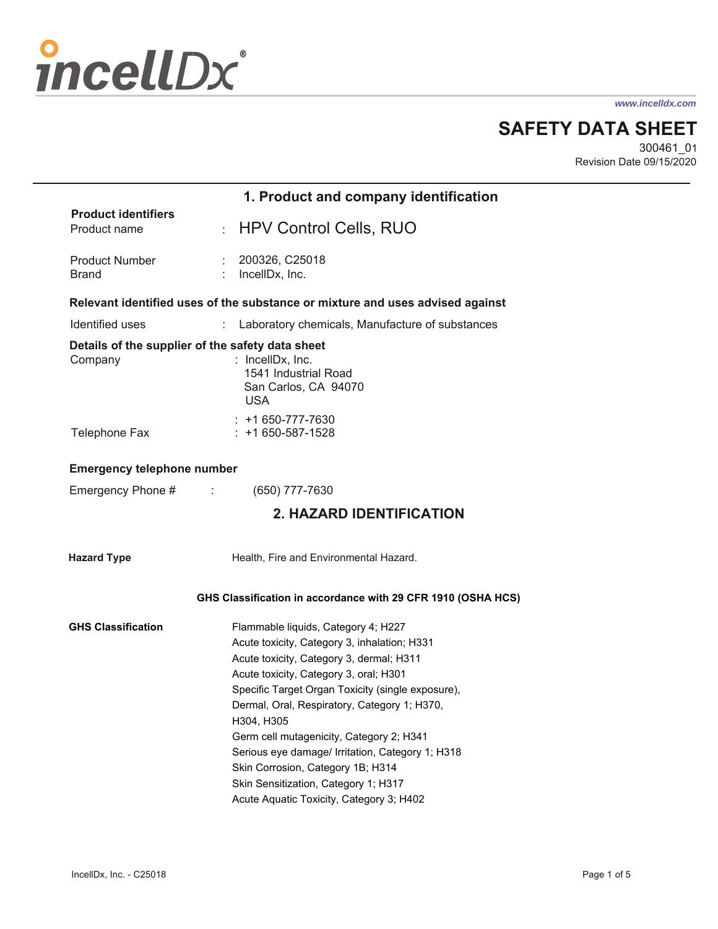# incellDx

*www.incelldx.com*

**SAFETY DATA SHEET**

300461\_01 Revision Date 09/15/2020

|                                                             | 1. Product and company identification                                                                                                                                                                                                                                                                                                                                                                                                                                     |
|-------------------------------------------------------------|---------------------------------------------------------------------------------------------------------------------------------------------------------------------------------------------------------------------------------------------------------------------------------------------------------------------------------------------------------------------------------------------------------------------------------------------------------------------------|
| <b>Product identifiers</b><br>Product name                  | <b>HPV Control Cells, RUO</b><br>÷.                                                                                                                                                                                                                                                                                                                                                                                                                                       |
| <b>Product Number</b><br><b>Brand</b>                       | 200326, C25018<br>IncellDx, Inc.                                                                                                                                                                                                                                                                                                                                                                                                                                          |
|                                                             | Relevant identified uses of the substance or mixture and uses advised against                                                                                                                                                                                                                                                                                                                                                                                             |
| Identified uses                                             | ÷.<br>Laboratory chemicals, Manufacture of substances                                                                                                                                                                                                                                                                                                                                                                                                                     |
| Details of the supplier of the safety data sheet<br>Company | : IncellDx, Inc.<br>1541 Industrial Road<br>San Carlos, CA 94070<br><b>USA</b>                                                                                                                                                                                                                                                                                                                                                                                            |
| <b>Telephone Fax</b>                                        | $: +1650-777-7630$<br>$: +1650 - 587 - 1528$                                                                                                                                                                                                                                                                                                                                                                                                                              |
| <b>Emergency telephone number</b>                           |                                                                                                                                                                                                                                                                                                                                                                                                                                                                           |
| Emergency Phone #<br>÷                                      | (650) 777-7630                                                                                                                                                                                                                                                                                                                                                                                                                                                            |
|                                                             | <b>2. HAZARD IDENTIFICATION</b>                                                                                                                                                                                                                                                                                                                                                                                                                                           |
| <b>Hazard Type</b>                                          | Health, Fire and Environmental Hazard.                                                                                                                                                                                                                                                                                                                                                                                                                                    |
|                                                             | GHS Classification in accordance with 29 CFR 1910 (OSHA HCS)                                                                                                                                                                                                                                                                                                                                                                                                              |
| <b>GHS Classification</b>                                   | Flammable liquids, Category 4; H227<br>Acute toxicity, Category 3, inhalation; H331<br>Acute toxicity, Category 3, dermal; H311<br>Acute toxicity, Category 3, oral; H301<br>Specific Target Organ Toxicity (single exposure),<br>Dermal, Oral, Respiratory, Category 1; H370,<br>H304, H305<br>Germ cell mutagenicity, Category 2; H341<br>Serious eye damage/ Irritation, Category 1; H318<br>Skin Corrosion, Category 1B; H314<br>Skin Sensitization, Category 1; H317 |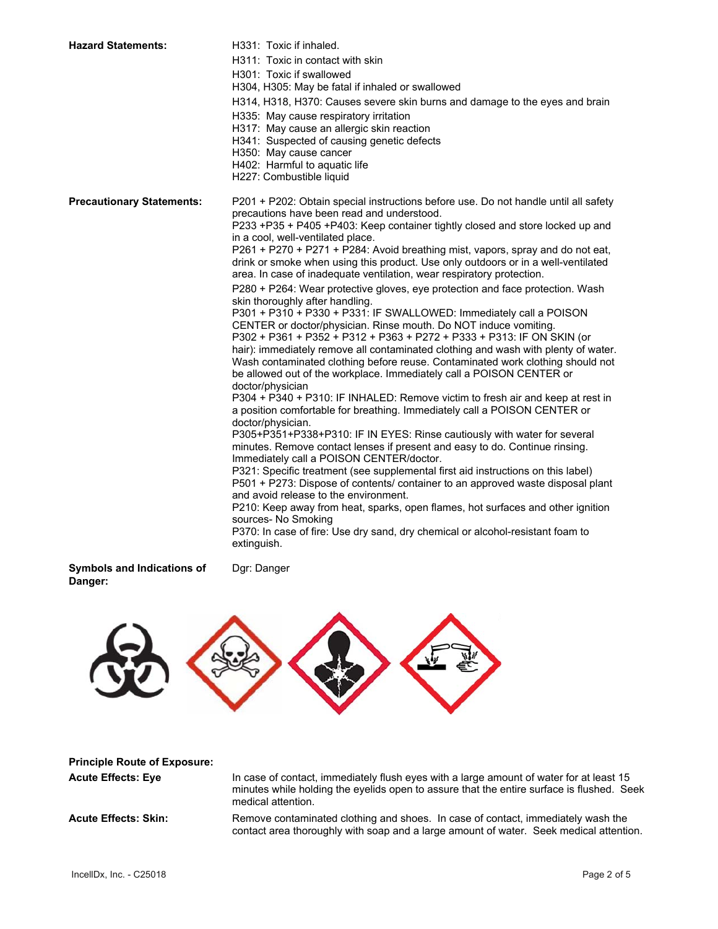| <b>Hazard Statements:</b>        | H331: Toxic if inhaled.<br>H311: Toxic in contact with skin<br>H301: Toxic if swallowed<br>H304, H305: May be fatal if inhaled or swallowed<br>H314, H318, H370: Causes severe skin burns and damage to the eyes and brain<br>H335: May cause respiratory irritation<br>H317: May cause an allergic skin reaction<br>H341: Suspected of causing genetic defects<br>H350: May cause cancer<br>H402: Harmful to aquatic life<br>H227: Combustible liquid                                                                                                                                                                                                                                                                                                                                                                                                                                                                                                                                                                                                                                                                                                                                                                                                                                                                                                                                                                                                                                                                                                                                                                                                                                                                                                                                                                                                                                                                                   |
|----------------------------------|------------------------------------------------------------------------------------------------------------------------------------------------------------------------------------------------------------------------------------------------------------------------------------------------------------------------------------------------------------------------------------------------------------------------------------------------------------------------------------------------------------------------------------------------------------------------------------------------------------------------------------------------------------------------------------------------------------------------------------------------------------------------------------------------------------------------------------------------------------------------------------------------------------------------------------------------------------------------------------------------------------------------------------------------------------------------------------------------------------------------------------------------------------------------------------------------------------------------------------------------------------------------------------------------------------------------------------------------------------------------------------------------------------------------------------------------------------------------------------------------------------------------------------------------------------------------------------------------------------------------------------------------------------------------------------------------------------------------------------------------------------------------------------------------------------------------------------------------------------------------------------------------------------------------------------------|
| <b>Precautionary Statements:</b> | P201 + P202: Obtain special instructions before use. Do not handle until all safety<br>precautions have been read and understood.<br>P233 +P35 + P405 +P403: Keep container tightly closed and store locked up and<br>in a cool, well-ventilated place.<br>P261 + P270 + P271 + P284: Avoid breathing mist, vapors, spray and do not eat,<br>drink or smoke when using this product. Use only outdoors or in a well-ventilated<br>area. In case of inadequate ventilation, wear respiratory protection.<br>P280 + P264: Wear protective gloves, eye protection and face protection. Wash<br>skin thoroughly after handling.<br>P301 + P310 + P330 + P331: IF SWALLOWED: Immediately call a POISON<br>CENTER or doctor/physician. Rinse mouth. Do NOT induce vomiting.<br>P302 + P361 + P352 + P312 + P363 + P272 + P333 + P313: IF ON SKIN (or<br>hair): immediately remove all contaminated clothing and wash with plenty of water.<br>Wash contaminated clothing before reuse. Contaminated work clothing should not<br>be allowed out of the workplace. Immediately call a POISON CENTER or<br>doctor/physician<br>P304 + P340 + P310: IF INHALED: Remove victim to fresh air and keep at rest in<br>a position comfortable for breathing. Immediately call a POISON CENTER or<br>doctor/physician.<br>P305+P351+P338+P310: IF IN EYES: Rinse cautiously with water for several<br>minutes. Remove contact lenses if present and easy to do. Continue rinsing.<br>Immediately call a POISON CENTER/doctor.<br>P321: Specific treatment (see supplemental first aid instructions on this label)<br>P501 + P273: Dispose of contents/ container to an approved waste disposal plant<br>and avoid release to the environment.<br>P210: Keep away from heat, sparks, open flames, hot surfaces and other ignition<br>sources- No Smoking<br>P370: In case of fire: Use dry sand, dry chemical or alcohol-resistant foam to<br>extinguish. |
| والمستقلب والمسالين              | $D = D - D$                                                                                                                                                                                                                                                                                                                                                                                                                                                                                                                                                                                                                                                                                                                                                                                                                                                                                                                                                                                                                                                                                                                                                                                                                                                                                                                                                                                                                                                                                                                                                                                                                                                                                                                                                                                                                                                                                                                              |

**Symbols and Indications of Dgr: Danger Danger:** 



| <b>Principle Route of Exposure:</b> |                                                                                                                                                                                                            |
|-------------------------------------|------------------------------------------------------------------------------------------------------------------------------------------------------------------------------------------------------------|
| <b>Acute Effects: Eye</b>           | In case of contact, immediately flush eyes with a large amount of water for at least 15<br>minutes while holding the eyelids open to assure that the entire surface is flushed. Seek<br>medical attention. |
| <b>Acute Effects: Skin:</b>         | Remove contaminated clothing and shoes. In case of contact, immediately wash the<br>contact area thoroughly with soap and a large amount of water. Seek medical attention.                                 |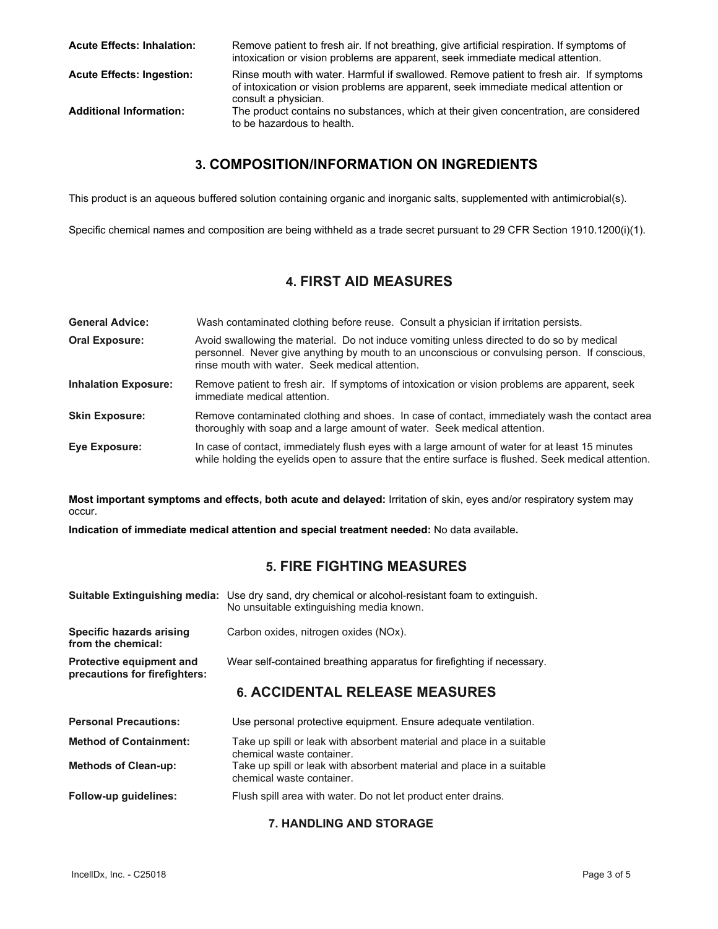| <b>Acute Effects: Inhalation:</b> | Remove patient to fresh air. If not breathing, give artificial respiration. If symptoms of<br>intoxication or vision problems are apparent, seek immediate medical attention.                          |
|-----------------------------------|--------------------------------------------------------------------------------------------------------------------------------------------------------------------------------------------------------|
| <b>Acute Effects: Ingestion:</b>  | Rinse mouth with water. Harmful if swallowed. Remove patient to fresh air. If symptoms<br>of intoxication or vision problems are apparent, seek immediate medical attention or<br>consult a physician. |
| <b>Additional Information:</b>    | The product contains no substances, which at their given concentration, are considered<br>to be hazardous to health.                                                                                   |

## **3. COMPOSITION/INFORMATION ON INGREDIENTS**

This product is an aqueous buffered solution containing organic and inorganic salts, supplemented with antimicrobial(s).

Specific chemical names and composition are being withheld as a trade secret pursuant to 29 CFR Section 1910.1200(i)(1).

# **4. FIRST AID MEASURES**

| <b>General Advice:</b>      | Wash contaminated clothing before reuse. Consult a physician if irritation persists.                                                                                                                                                          |
|-----------------------------|-----------------------------------------------------------------------------------------------------------------------------------------------------------------------------------------------------------------------------------------------|
| <b>Oral Exposure:</b>       | Avoid swallowing the material. Do not induce vomiting unless directed to do so by medical<br>personnel. Never give anything by mouth to an unconscious or convulsing person. If conscious,<br>rinse mouth with water. Seek medical attention. |
| <b>Inhalation Exposure:</b> | Remove patient to fresh air. If symptoms of intoxication or vision problems are apparent, seek<br>immediate medical attention.                                                                                                                |
| <b>Skin Exposure:</b>       | Remove contaminated clothing and shoes. In case of contact, immediately wash the contact area<br>thoroughly with soap and a large amount of water. Seek medical attention.                                                                    |
| Eye Exposure:               | In case of contact, immediately flush eyes with a large amount of water for at least 15 minutes<br>while holding the eyelids open to assure that the entire surface is flushed. Seek medical attention.                                       |

**Most important symptoms and effects, both acute and delayed:** Irritation of skin, eyes and/or respiratory system may occur.

**Indication of immediate medical attention and special treatment needed:** No data available**.**

# **5. FIRE FIGHTING MEASURES**

|                                                                  | <b>Suitable Extinguishing media:</b> Use dry sand, dry chemical or alcohol-resistant foam to extinguish.<br>No unsuitable extinguishing media known. |
|------------------------------------------------------------------|------------------------------------------------------------------------------------------------------------------------------------------------------|
| Specific hazards arising<br>from the chemical:                   | Carbon oxides, nitrogen oxides (NOx).                                                                                                                |
| <b>Protective equipment and</b><br>precautions for firefighters: | Wear self-contained breathing apparatus for firefighting if necessary.                                                                               |
|                                                                  | <b>6. ACCIDENTAL RELEASE MEASURES</b>                                                                                                                |
|                                                                  |                                                                                                                                                      |
| <b>Personal Precautions:</b>                                     | Use personal protective equipment. Ensure adequate ventilation.                                                                                      |
| <b>Method of Containment:</b>                                    | Take up spill or leak with absorbent material and place in a suitable<br>chemical waste container.                                                   |
| <b>Methods of Clean-up:</b>                                      | Take up spill or leak with absorbent material and place in a suitable<br>chemical waste container.                                                   |

#### **7. HANDLING AND STORAGE**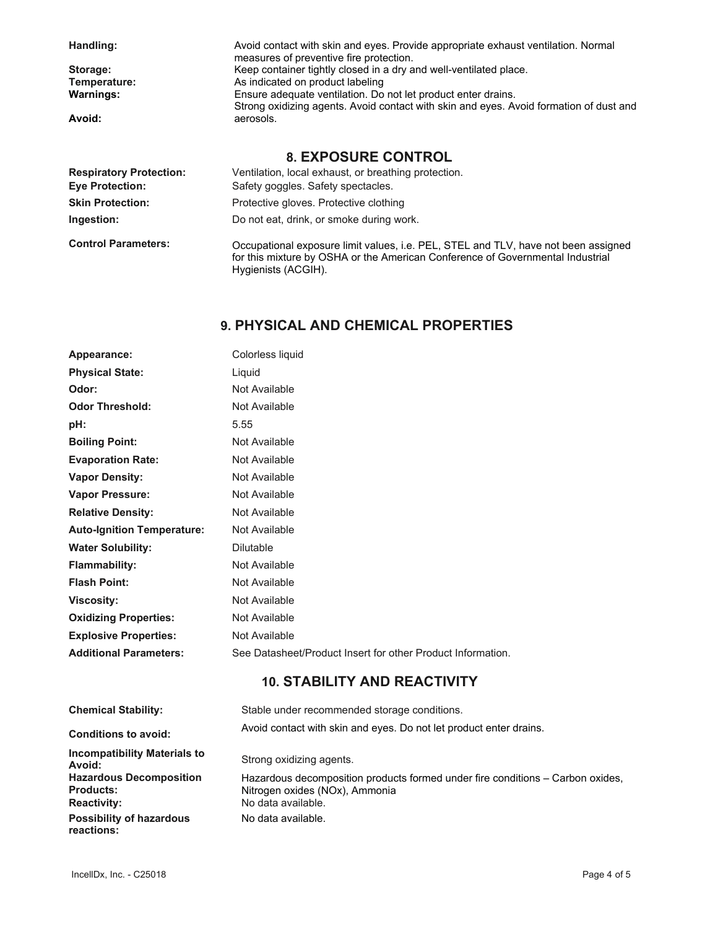| Handling:                      | Avoid contact with skin and eyes. Provide appropriate exhaust ventilation. Normal<br>measures of preventive fire protection. |
|--------------------------------|------------------------------------------------------------------------------------------------------------------------------|
| Storage:                       | Keep container tightly closed in a dry and well-ventilated place.                                                            |
| Temperature:                   | As indicated on product labeling                                                                                             |
| <b>Warnings:</b>               | Ensure adequate ventilation. Do not let product enter drains.                                                                |
|                                | Strong oxidizing agents. Avoid contact with skin and eyes. Avoid formation of dust and                                       |
| Avoid:                         | aerosols.                                                                                                                    |
|                                | <b>8. EXPOSURE CONTROL</b>                                                                                                   |
| <b>Respiratory Protection:</b> | Ventilation, local exhaust, or breathing protection.                                                                         |
| <b>Eye Protection:</b>         | Safety goggles. Safety spectacles.                                                                                           |
| <b>Skin Protection:</b>        | Protective gloves. Protective clothing                                                                                       |
| Ingestion:                     | Do not eat, drink, or smoke during work.                                                                                     |

**Control Parameters:**  Occupational exposure limit values, i.e. PEL, STEL and TLV, have not been assigned for this mixture by OSHA or the American Conference of Governmental Industrial Hygienists (ACGIH).

# **9. PHYSICAL AND CHEMICAL PROPERTIES**

| Appearance:                       | Colorless liquid                                            |
|-----------------------------------|-------------------------------------------------------------|
| <b>Physical State:</b>            | Liquid                                                      |
| Odor:                             | Not Available                                               |
| <b>Odor Threshold:</b>            | Not Available                                               |
| pH:                               | 5.55                                                        |
| <b>Boiling Point:</b>             | Not Available                                               |
| <b>Evaporation Rate:</b>          | Not Available                                               |
| <b>Vapor Density:</b>             | Not Available                                               |
| <b>Vapor Pressure:</b>            | Not Available                                               |
| <b>Relative Density:</b>          | Not Available                                               |
| <b>Auto-Ignition Temperature:</b> | Not Available                                               |
| <b>Water Solubility:</b>          | <b>Dilutable</b>                                            |
| <b>Flammability:</b>              | Not Available                                               |
| <b>Flash Point:</b>               | Not Available                                               |
| <b>Viscosity:</b>                 | Not Available                                               |
| <b>Oxidizing Properties:</b>      | Not Available                                               |
| <b>Explosive Properties:</b>      | Not Available                                               |
| <b>Additional Parameters:</b>     | See Datasheet/Product Insert for other Product Information. |

# **10. STABILITY AND REACTIVITY**

| <b>Chemical Stability:</b>                         | Stable under recommended storage conditions.                                                                     |
|----------------------------------------------------|------------------------------------------------------------------------------------------------------------------|
| <b>Conditions to avoid:</b>                        | Avoid contact with skin and eyes. Do not let product enter drains.                                               |
| <b>Incompatibility Materials to</b><br>Avoid:      | Strong oxidizing agents.                                                                                         |
| <b>Hazardous Decomposition</b><br><b>Products:</b> | Hazardous decomposition products formed under fire conditions – Carbon oxides,<br>Nitrogen oxides (NOx), Ammonia |
| <b>Reactivity:</b>                                 | No data available.                                                                                               |
| <b>Possibility of hazardous</b><br>reactions:      | No data available.                                                                                               |